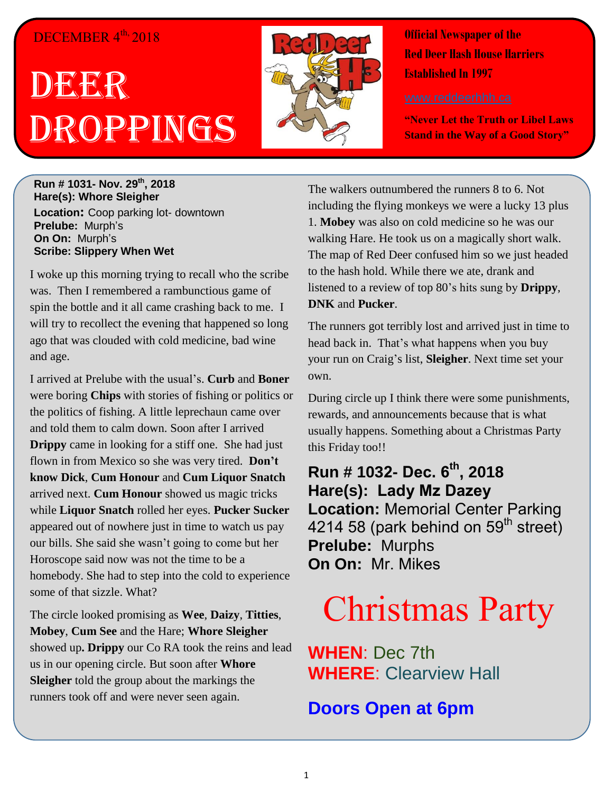#### DECEMBER 4<sup>th,</sup> 2018

# DEERR Droppings



**Official Newspaper of the Red Deer Hash House Harriers Established In 1997** 

**"Never Let the Truth or Libel Laws Stand in the Way of a Good Story"**

**Run # 1031- Nov. 29 th, 2018 Hare(s): Whore Sleigher Location:** Coop parking lot- downtown **Prelube:** Murph's **On On:** Murph's **Scribe: Slippery When Wet**

I woke up this morning trying to recall who the scribe was. Then I remembered a rambunctious game of spin the bottle and it all came crashing back to me. I will try to recollect the evening that happened so long ago that was clouded with cold medicine, bad wine and age.

I arrived at Prelube with the usual's. **Curb** and **Boner** were boring **Chips** with stories of fishing or politics or the politics of fishing. A little leprechaun came over and told them to calm down. Soon after I arrived **Drippy** came in looking for a stiff one. She had just flown in from Mexico so she was very tired. **Don't know Dick**, **Cum Honour** and **Cum Liquor Snatch** arrived next. **Cum Honour** showed us magic tricks while **Liquor Snatch** rolled her eyes. **Pucker Sucker** appeared out of nowhere just in time to watch us pay our bills. She said she wasn't going to come but her Horoscope said now was not the time to be a homebody. She had to step into the cold to experience some of that sizzle. What?

The circle looked promising as **Wee**, **Daizy**, **Titties**, **Mobey**, **Cum See** and the Hare; **Whore Sleigher** showed up**. Drippy** our Co RA took the reins and lead us in our opening circle. But soon after **Whore Sleigher** told the group about the markings the runners took off and were never seen again.

The walkers outnumbered the runners 8 to 6. Not including the flying monkeys we were a lucky 13 plus 1. **Mobey** was also on cold medicine so he was our walking Hare. He took us on a magically short walk. The map of Red Deer confused him so we just headed to the hash hold. While there we ate, drank and listened to a review of top 80's hits sung by **Drippy**, **DNK** and **Pucker**.

The runners got terribly lost and arrived just in time to head back in. That's what happens when you buy your run on Craig's list, **Sleigher**. Next time set your own.

During circle up I think there were some punishments, rewards, and announcements because that is what usually happens. Something about a Christmas Party this Friday too!!

**Run # 1032- Dec. 6 th, 2018 Hare(s): Lady Mz Dazey Location:** Memorial Center Parking 4214 58 (park behind on  $59<sup>th</sup>$  street) **Prelube:** Murphs **On On:** Mr. Mikes

## Christmas Party

**WHEN**: Dec 7th **WHERE**: Clearview Hall

**Doors Open at 6pm**